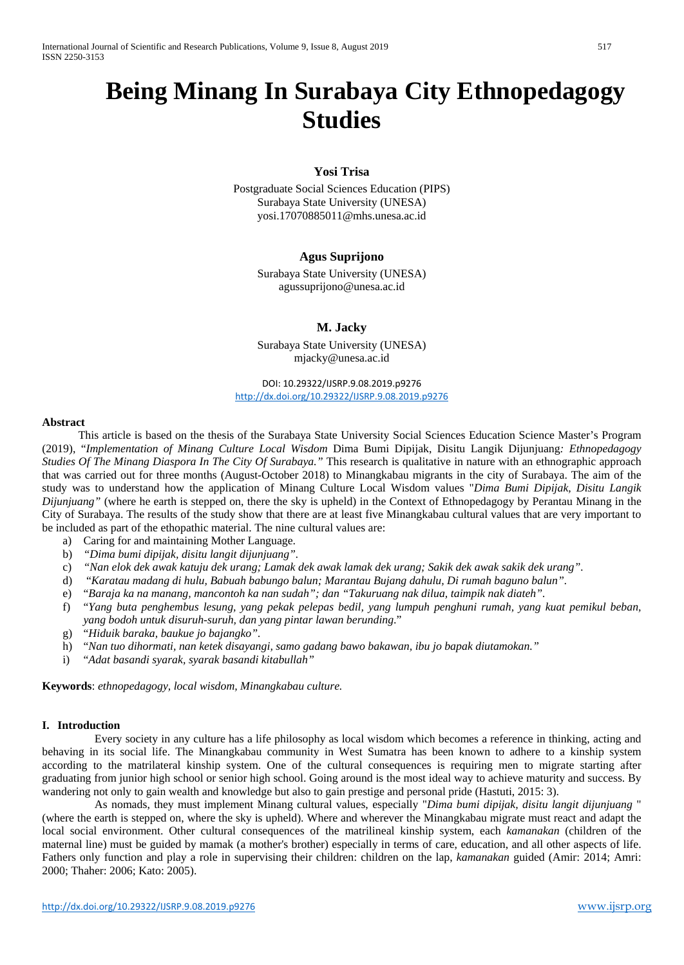# **Being Minang In Surabaya City Ethnopedagogy Studies**

# **Yosi Trisa**

Postgraduate Social Sciences Education (PIPS) Surabaya State University (UNESA) yosi.17070885011@mhs.unesa.ac.id

# **Agus Suprijono**

Surabaya State University (UNESA) agussuprijono@unesa.ac.id

# **M. Jacky**

Surabaya State University (UNESA) mjacky@unesa.ac.id

DOI: 10.29322/IJSRP.9.08.2019.p9276 <http://dx.doi.org/10.29322/IJSRP.9.08.2019.p9276>

#### **Abstract**

This article is based on the thesis of the Surabaya State University Social Sciences Education Science Master's Program (2019), "*Implementation of Minang Culture Local Wisdom* Dima Bumi Dipijak, Disitu Langik Dijunjuang*: Ethnopedagogy Studies Of The Minang Diaspora In The City Of Surabaya."* This research is qualitative in nature with an ethnographic approach that was carried out for three months (August-October 2018) to Minangkabau migrants in the city of Surabaya. The aim of the study was to understand how the application of Minang Culture Local Wisdom values "*Dima Bumi Dipijak, Disitu Langik Dijunjuang*" (where he earth is stepped on, there the sky is upheld) in the Context of Ethnopedagogy by Perantau Minang in the City of Surabaya. The results of the study show that there are at least five Minangkabau cultural values that are very important to be included as part of the ethopathic material. The nine cultural values are:

- a) Caring for and maintaining Mother Language.<br>b) "Dima bumi dipijak, disitu langit dijunjuang".
- b) *"Dima bumi dipijak, disitu langit dijunjuang".*
- c) *"Nan elok dek awak katuju dek urang; Lamak dek awak lamak dek urang; Sakik dek awak sakik dek urang".*
- d) "*Karatau madang di hulu, Babuah babungo balun; Marantau Bujang dahulu, Di rumah baguno balun".*
- e) "*Baraja ka na manang, mancontoh ka nan sudah"; dan "Takuruang nak dilua, taimpik nak diateh".*
- f) "*Yang buta penghembus lesung, yang pekak pelepas bedil, yang lumpuh penghuni rumah, yang kuat pemikul beban, yang bodoh untuk disuruh-suruh, dan yang pintar lawan berunding*."
- g) "*Hiduik baraka, baukue jo bajangko".*
- h) "*Nan tuo dihormati, nan ketek disayangi, samo gadang bawo bakawan, ibu jo bapak diutamokan."*
- i) "*Adat basandi syarak, syarak basandi kitabullah"*

**Keywords**: *ethnopedagogy, local wisdom, Minangkabau culture.*

#### **I. Introduction**

Every society in any culture has a life philosophy as local wisdom which becomes a reference in thinking, acting and behaving in its social life. The Minangkabau community in West Sumatra has been known to adhere to a kinship system according to the matrilateral kinship system. One of the cultural consequences is requiring men to migrate starting after graduating from junior high school or senior high school. Going around is the most ideal way to achieve maturity and success. By wandering not only to gain wealth and knowledge but also to gain prestige and personal pride (Hastuti, 2015: 3).

As nomads, they must implement Minang cultural values, especially "*Dima bumi dipijak, disitu langit dijunjuang* " (where the earth is stepped on, where the sky is upheld). Where and wherever the Minangkabau migrate must react and adapt the local social environment. Other cultural consequences of the matrilineal kinship system, each *kamanakan* (children of the maternal line) must be guided by mamak (a mother's brother) especially in terms of care, education, and all other aspects of life. Fathers only function and play a role in supervising their children: children on the lap, *kamanakan* guided (Amir: 2014; Amri: 2000; Thaher: 2006; Kato: 2005).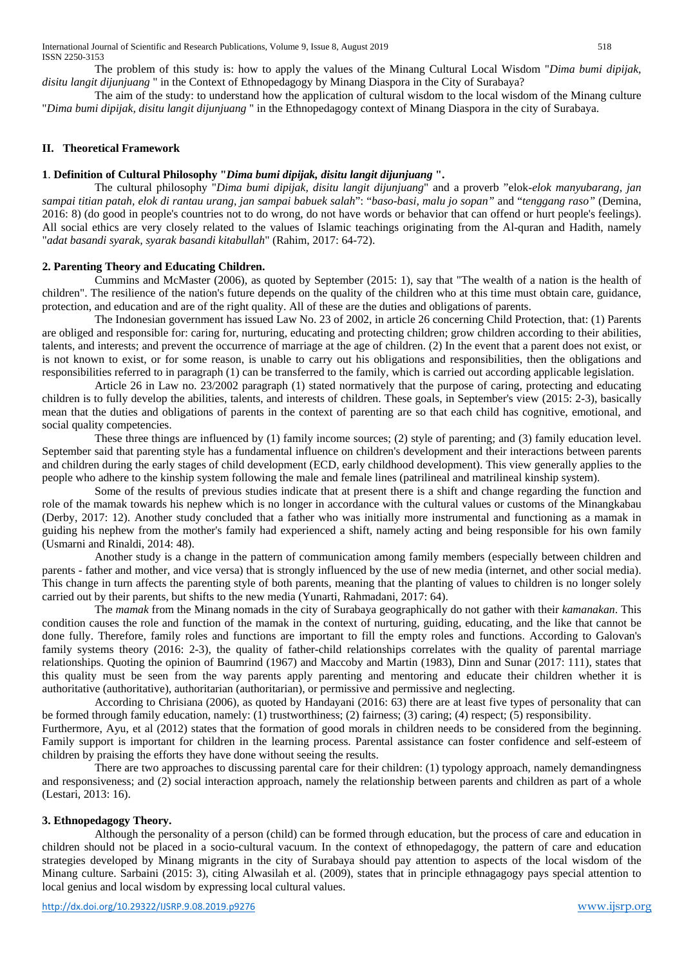The problem of this study is: how to apply the values of the Minang Cultural Local Wisdom "*Dima bumi dipijak, disitu langit dijunjuang* " in the Context of Ethnopedagogy by Minang Diaspora in the City of Surabaya?

The aim of the study: to understand how the application of cultural wisdom to the local wisdom of the Minang culture "*Dima bumi dipijak, disitu langit dijunjuang* " in the Ethnopedagogy context of Minang Diaspora in the city of Surabaya.

#### **II. Theoretical Framework**

#### **1**. **Definition of Cultural Philosophy "***Dima bumi dipijak, disitu langit dijunjuang* **".**

The cultural philosophy "*Dima bumi dipijak, disitu langit dijunjuang*" and a proverb "elok*-elok manyubarang, jan sampai titian patah, elok di rantau urang, jan sampai babuek salah*": "*baso-basi, malu jo sopan"* and "*tenggang raso"* (Demina, 2016: 8) (do good in people's countries not to do wrong, do not have words or behavior that can offend or hurt people's feelings). All social ethics are very closely related to the values of Islamic teachings originating from the Al-quran and Hadith, namely "*adat basandi syarak, syarak basandi kitabullah*" (Rahim, 2017: 64-72).

#### **2. Parenting Theory and Educating Children.**

Cummins and McMaster (2006), as quoted by September (2015: 1), say that "The wealth of a nation is the health of children". The resilience of the nation's future depends on the quality of the children who at this time must obtain care, guidance, protection, and education and are of the right quality. All of these are the duties and obligations of parents.

The Indonesian government has issued Law No. 23 of 2002, in article 26 concerning Child Protection, that: (1) Parents are obliged and responsible for: caring for, nurturing, educating and protecting children; grow children according to their abilities, talents, and interests; and prevent the occurrence of marriage at the age of children. (2) In the event that a parent does not exist, or is not known to exist, or for some reason, is unable to carry out his obligations and responsibilities, then the obligations and responsibilities referred to in paragraph (1) can be transferred to the family, which is carried out according applicable legislation.

Article 26 in Law no. 23/2002 paragraph (1) stated normatively that the purpose of caring, protecting and educating children is to fully develop the abilities, talents, and interests of children. These goals, in September's view (2015: 2-3), basically mean that the duties and obligations of parents in the context of parenting are so that each child has cognitive, emotional, and social quality competencies.

These three things are influenced by (1) family income sources; (2) style of parenting; and (3) family education level. September said that parenting style has a fundamental influence on children's development and their interactions between parents and children during the early stages of child development (ECD, early childhood development). This view generally applies to the people who adhere to the kinship system following the male and female lines (patrilineal and matrilineal kinship system).

Some of the results of previous studies indicate that at present there is a shift and change regarding the function and role of the mamak towards his nephew which is no longer in accordance with the cultural values or customs of the Minangkabau (Derby, 2017: 12). Another study concluded that a father who was initially more instrumental and functioning as a mamak in guiding his nephew from the mother's family had experienced a shift, namely acting and being responsible for his own family (Usmarni and Rinaldi, 2014: 48).

Another study is a change in the pattern of communication among family members (especially between children and parents - father and mother, and vice versa) that is strongly influenced by the use of new media (internet, and other social media). This change in turn affects the parenting style of both parents, meaning that the planting of values to children is no longer solely carried out by their parents, but shifts to the new media (Yunarti, Rahmadani, 2017: 64).

The *mamak* from the Minang nomads in the city of Surabaya geographically do not gather with their *kamanakan*. This condition causes the role and function of the mamak in the context of nurturing, guiding, educating, and the like that cannot be done fully. Therefore, family roles and functions are important to fill the empty roles and functions. According to Galovan's family systems theory (2016: 2-3), the quality of father-child relationships correlates with the quality of parental marriage relationships. Quoting the opinion of Baumrind (1967) and Maccoby and Martin (1983), Dinn and Sunar (2017: 111), states that this quality must be seen from the way parents apply parenting and mentoring and educate their children whether it is authoritative (authoritative), authoritarian (authoritarian), or permissive and permissive and neglecting.

According to Chrisiana (2006), as quoted by Handayani (2016: 63) there are at least five types of personality that can be formed through family education, namely: (1) trustworthiness; (2) fairness; (3) caring; (4) respect; (5) responsibility.

Furthermore, Ayu, et al (2012) states that the formation of good morals in children needs to be considered from the beginning. Family support is important for children in the learning process. Parental assistance can foster confidence and self-esteem of children by praising the efforts they have done without seeing the results.

There are two approaches to discussing parental care for their children: (1) typology approach, namely demandingness and responsiveness; and (2) social interaction approach, namely the relationship between parents and children as part of a whole (Lestari, 2013: 16).

#### **3. Ethnopedagogy Theory.**

Although the personality of a person (child) can be formed through education, but the process of care and education in children should not be placed in a socio-cultural vacuum. In the context of ethnopedagogy, the pattern of care and education strategies developed by Minang migrants in the city of Surabaya should pay attention to aspects of the local wisdom of the Minang culture. Sarbaini (2015: 3), citing Alwasilah et al. (2009), states that in principle ethnagagogy pays special attention to local genius and local wisdom by expressing local cultural values.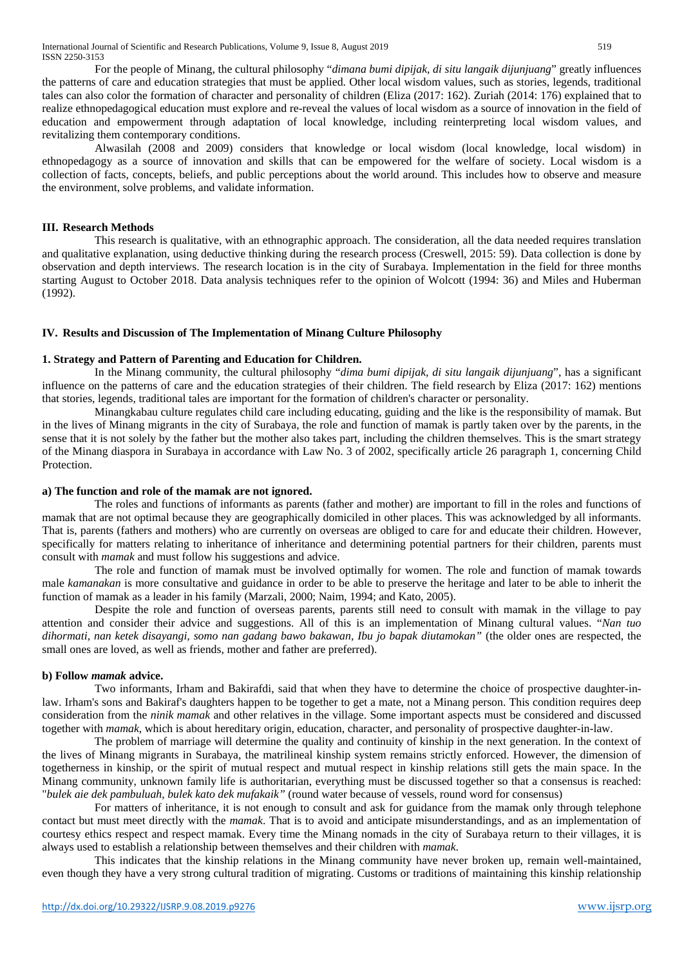For the people of Minang, the cultural philosophy "*dimana bumi dipijak, di situ langaik dijunjuang*" greatly influences the patterns of care and education strategies that must be applied. Other local wisdom values, such as stories, legends, traditional tales can also color the formation of character and personality of children (Eliza (2017: 162). Zuriah (2014: 176) explained that to realize ethnopedagogical education must explore and re-reveal the values of local wisdom as a source of innovation in the field of education and empowerment through adaptation of local knowledge, including reinterpreting local wisdom values, and revitalizing them contemporary conditions.

Alwasilah (2008 and 2009) considers that knowledge or local wisdom (local knowledge, local wisdom) in ethnopedagogy as a source of innovation and skills that can be empowered for the welfare of society. Local wisdom is a collection of facts, concepts, beliefs, and public perceptions about the world around. This includes how to observe and measure the environment, solve problems, and validate information.

## **III. Research Methods**

This research is qualitative, with an ethnographic approach. The consideration, all the data needed requires translation and qualitative explanation, using deductive thinking during the research process (Creswell, 2015: 59). Data collection is done by observation and depth interviews. The research location is in the city of Surabaya. Implementation in the field for three months starting August to October 2018. Data analysis techniques refer to the opinion of Wolcott (1994: 36) and Miles and Huberman (1992).

## **IV. Results and Discussion of The Implementation of Minang Culture Philosophy**

#### **1. Strategy and Pattern of Parenting and Education for Children.**

In the Minang community, the cultural philosophy "*dima bumi dipijak, di situ langaik dijunjuang*", has a significant influence on the patterns of care and the education strategies of their children. The field research by Eliza (2017: 162) mentions that stories, legends, traditional tales are important for the formation of children's character or personality.

Minangkabau culture regulates child care including educating, guiding and the like is the responsibility of mamak. But in the lives of Minang migrants in the city of Surabaya, the role and function of mamak is partly taken over by the parents, in the sense that it is not solely by the father but the mother also takes part, including the children themselves. This is the smart strategy of the Minang diaspora in Surabaya in accordance with Law No. 3 of 2002, specifically article 26 paragraph 1, concerning Child Protection.

#### **a) The function and role of the mamak are not ignored.**

The roles and functions of informants as parents (father and mother) are important to fill in the roles and functions of mamak that are not optimal because they are geographically domiciled in other places. This was acknowledged by all informants. That is, parents (fathers and mothers) who are currently on overseas are obliged to care for and educate their children. However, specifically for matters relating to inheritance of inheritance and determining potential partners for their children, parents must consult with *mamak* and must follow his suggestions and advice.

The role and function of mamak must be involved optimally for women. The role and function of mamak towards male *kamanakan* is more consultative and guidance in order to be able to preserve the heritage and later to be able to inherit the function of mamak as a leader in his family (Marzali, 2000; Naim, 1994; and Kato, 2005).

Despite the role and function of overseas parents, parents still need to consult with mamak in the village to pay attention and consider their advice and suggestions. All of this is an implementation of Minang cultural values. "*Nan tuo dihormati, nan ketek disayangi, somo nan gadang bawo bakawan, Ibu jo bapak diutamokan"* (the older ones are respected, the small ones are loved, as well as friends, mother and father are preferred).

#### **b) Follow** *mamak* **advice.**

Two informants, Irham and Bakirafdi, said that when they have to determine the choice of prospective daughter-inlaw. Irham's sons and Bakiraf's daughters happen to be together to get a mate, not a Minang person. This condition requires deep consideration from the *ninik mamak* and other relatives in the village. Some important aspects must be considered and discussed together with *mamak*, which is about hereditary origin, education, character, and personality of prospective daughter-in-law.

The problem of marriage will determine the quality and continuity of kinship in the next generation. In the context of the lives of Minang migrants in Surabaya, the matrilineal kinship system remains strictly enforced. However, the dimension of togetherness in kinship, or the spirit of mutual respect and mutual respect in kinship relations still gets the main space. In the Minang community, unknown family life is authoritarian, everything must be discussed together so that a consensus is reached: "*bulek aie dek pambuluah, bulek kato dek mufakaik"* (round water because of vessels, round word for consensus)

For matters of inheritance, it is not enough to consult and ask for guidance from the mamak only through telephone contact but must meet directly with the *mamak*. That is to avoid and anticipate misunderstandings, and as an implementation of courtesy ethics respect and respect mamak. Every time the Minang nomads in the city of Surabaya return to their villages, it is always used to establish a relationship between themselves and their children with *mamak*.

This indicates that the kinship relations in the Minang community have never broken up, remain well-maintained, even though they have a very strong cultural tradition of migrating. Customs or traditions of maintaining this kinship relationship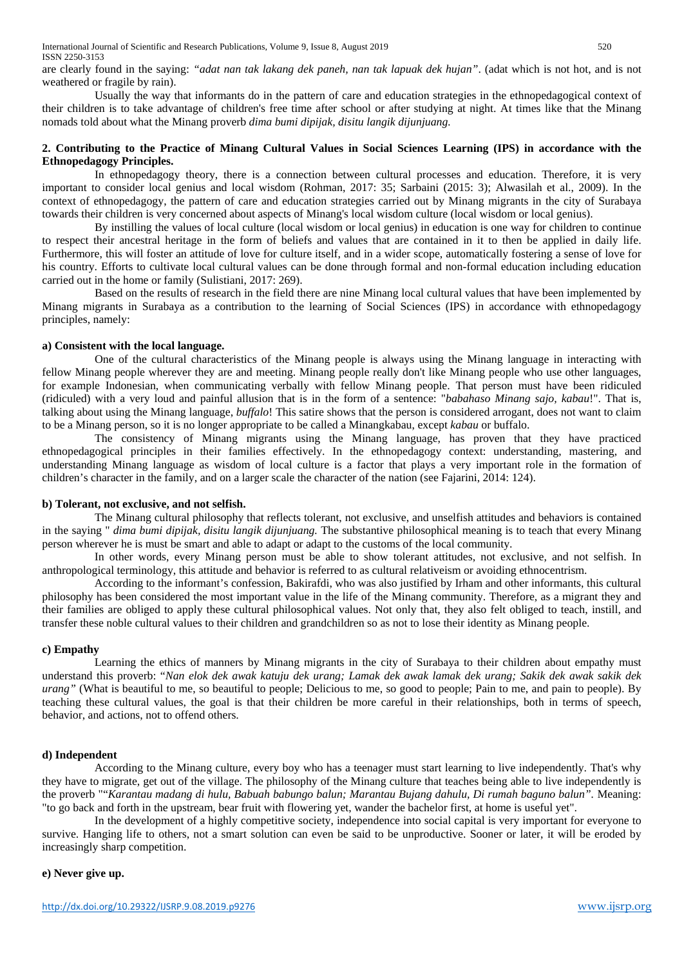International Journal of Scientific and Research Publications, Volume 9, Issue 8, August 2019 520 ISSN 2250-3153

are clearly found in the saying: *"adat nan tak lakang dek paneh, nan tak lapuak dek hujan"*. (adat which is not hot, and is not weathered or fragile by rain).

Usually the way that informants do in the pattern of care and education strategies in the ethnopedagogical context of their children is to take advantage of children's free time after school or after studying at night. At times like that the Minang nomads told about what the Minang proverb *dima bumi dipijak, disitu langik dijunjuang.*

## **2. Contributing to the Practice of Minang Cultural Values in Social Sciences Learning (IPS) in accordance with the Ethnopedagogy Principles.**

In ethnopedagogy theory, there is a connection between cultural processes and education. Therefore, it is very important to consider local genius and local wisdom (Rohman, 2017: 35; Sarbaini (2015: 3); Alwasilah et al., 2009). In the context of ethnopedagogy, the pattern of care and education strategies carried out by Minang migrants in the city of Surabaya towards their children is very concerned about aspects of Minang's local wisdom culture (local wisdom or local genius).

By instilling the values of local culture (local wisdom or local genius) in education is one way for children to continue to respect their ancestral heritage in the form of beliefs and values that are contained in it to then be applied in daily life. Furthermore, this will foster an attitude of love for culture itself, and in a wider scope, automatically fostering a sense of love for his country. Efforts to cultivate local cultural values can be done through formal and non-formal education including education carried out in the home or family (Sulistiani, 2017: 269).

Based on the results of research in the field there are nine Minang local cultural values that have been implemented by Minang migrants in Surabaya as a contribution to the learning of Social Sciences (IPS) in accordance with ethnopedagogy principles, namely:

#### **a) Consistent with the local language.**

One of the cultural characteristics of the Minang people is always using the Minang language in interacting with fellow Minang people wherever they are and meeting. Minang people really don't like Minang people who use other languages, for example Indonesian, when communicating verbally with fellow Minang people. That person must have been ridiculed (ridiculed) with a very loud and painful allusion that is in the form of a sentence: "*babahaso Minang sajo, kabau*!". That is, talking about using the Minang language, *buffalo*! This satire shows that the person is considered arrogant, does not want to claim to be a Minang person, so it is no longer appropriate to be called a Minangkabau, except *kabau* or buffalo.

The consistency of Minang migrants using the Minang language, has proven that they have practiced ethnopedagogical principles in their families effectively. In the ethnopedagogy context: understanding, mastering, and understanding Minang language as wisdom of local culture is a factor that plays a very important role in the formation of children's character in the family, and on a larger scale the character of the nation (see Fajarini, 2014: 124).

#### **b) Tolerant, not exclusive, and not selfish.**

The Minang cultural philosophy that reflects tolerant, not exclusive, and unselfish attitudes and behaviors is contained in the saying " *dima bumi dipijak, disitu langik dijunjuang.* The substantive philosophical meaning is to teach that every Minang person wherever he is must be smart and able to adapt or adapt to the customs of the local community.

In other words, every Minang person must be able to show tolerant attitudes, not exclusive, and not selfish. In anthropological terminology, this attitude and behavior is referred to as cultural relativeism or avoiding ethnocentrism.

According to the informant's confession, Bakirafdi, who was also justified by Irham and other informants, this cultural philosophy has been considered the most important value in the life of the Minang community. Therefore, as a migrant they and their families are obliged to apply these cultural philosophical values. Not only that, they also felt obliged to teach, instill, and transfer these noble cultural values to their children and grandchildren so as not to lose their identity as Minang people.

## **c) Empathy**

Learning the ethics of manners by Minang migrants in the city of Surabaya to their children about empathy must understand this proverb: "*Nan elok dek awak katuju dek urang; Lamak dek awak lamak dek urang; Sakik dek awak sakik dek urang"* (What is beautiful to me, so beautiful to people; Delicious to me, so good to people; Pain to me, and pain to people). By teaching these cultural values, the goal is that their children be more careful in their relationships, both in terms of speech, behavior, and actions, not to offend others.

## **d) Independent**

According to the Minang culture, every boy who has a teenager must start learning to live independently. That's why they have to migrate, get out of the village. The philosophy of the Minang culture that teaches being able to live independently is the proverb ""*Karantau madang di hulu, Babuah babungo balun; Marantau Bujang dahulu, Di rumah baguno balun".* Meaning: "to go back and forth in the upstream, bear fruit with flowering yet, wander the bachelor first, at home is useful yet".

In the development of a highly competitive society, independence into social capital is very important for everyone to survive. Hanging life to others, not a smart solution can even be said to be unproductive. Sooner or later, it will be eroded by increasingly sharp competition.

## **e) Never give up.**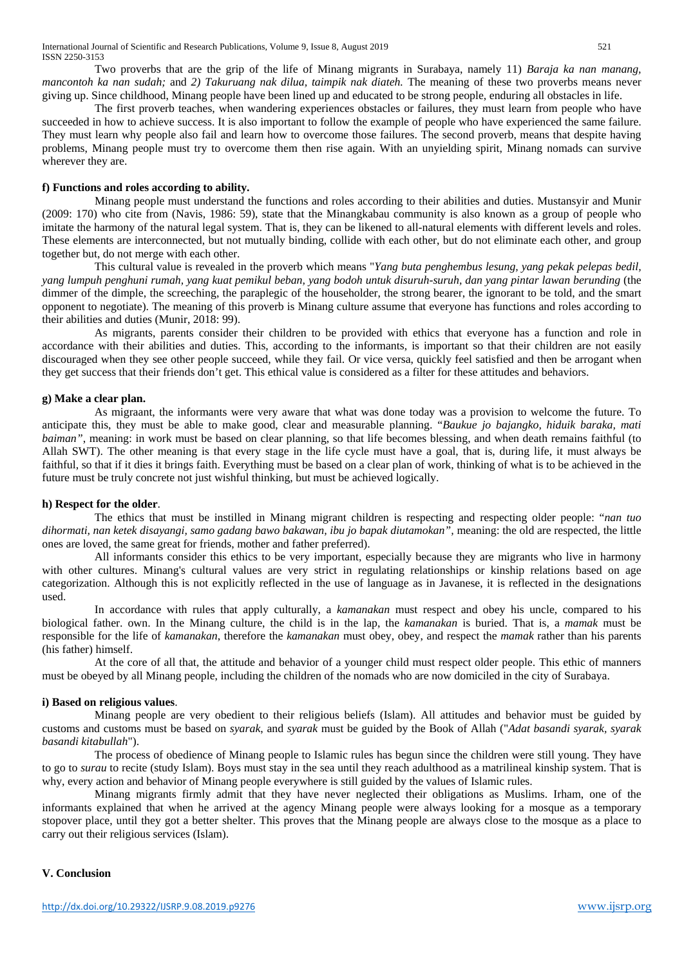Two proverbs that are the grip of the life of Minang migrants in Surabaya, namely 11) *Baraja ka nan manang, mancontoh ka nan sudah;* and *2) Takuruang nak dilua, taimpik nak diateh.* The meaning of these two proverbs means never giving up. Since childhood, Minang people have been lined up and educated to be strong people, enduring all obstacles in life.

The first proverb teaches, when wandering experiences obstacles or failures, they must learn from people who have succeeded in how to achieve success. It is also important to follow the example of people who have experienced the same failure. They must learn why people also fail and learn how to overcome those failures. The second proverb, means that despite having problems, Minang people must try to overcome them then rise again. With an unyielding spirit, Minang nomads can survive wherever they are.

#### **f) Functions and roles according to ability.**

Minang people must understand the functions and roles according to their abilities and duties. Mustansyir and Munir (2009: 170) who cite from (Navis, 1986: 59), state that the Minangkabau community is also known as a group of people who imitate the harmony of the natural legal system. That is, they can be likened to all-natural elements with different levels and roles. These elements are interconnected, but not mutually binding, collide with each other, but do not eliminate each other, and group together but, do not merge with each other.

This cultural value is revealed in the proverb which means "*Yang buta penghembus lesung, yang pekak pelepas bedil, yang lumpuh penghuni rumah, yang kuat pemikul beban, yang bodoh untuk disuruh-suruh, dan yang pintar lawan berunding* (the dimmer of the dimple, the screeching, the paraplegic of the householder, the strong bearer, the ignorant to be told, and the smart opponent to negotiate). The meaning of this proverb is Minang culture assume that everyone has functions and roles according to their abilities and duties (Munir, 2018: 99).

As migrants, parents consider their children to be provided with ethics that everyone has a function and role in accordance with their abilities and duties. This, according to the informants, is important so that their children are not easily discouraged when they see other people succeed, while they fail. Or vice versa, quickly feel satisfied and then be arrogant when they get success that their friends don't get. This ethical value is considered as a filter for these attitudes and behaviors.

#### **g) Make a clear plan.**

As migraant, the informants were very aware that what was done today was a provision to welcome the future. To anticipate this, they must be able to make good, clear and measurable planning. "*Baukue jo bajangko, hiduik baraka, mati baiman"*, meaning: in work must be based on clear planning, so that life becomes blessing, and when death remains faithful (to Allah SWT). The other meaning is that every stage in the life cycle must have a goal, that is, during life, it must always be faithful, so that if it dies it brings faith. Everything must be based on a clear plan of work, thinking of what is to be achieved in the future must be truly concrete not just wishful thinking, but must be achieved logically.

#### **h) Respect for the older**.

The ethics that must be instilled in Minang migrant children is respecting and respecting older people: "*nan tuo dihormati, nan ketek disayangi, samo gadang bawo bakawan, ibu jo bapak diutamokan",* meaning: the old are respected, the little ones are loved, the same great for friends, mother and father preferred).

All informants consider this ethics to be very important, especially because they are migrants who live in harmony with other cultures. Minang's cultural values are very strict in regulating relationships or kinship relations based on age categorization. Although this is not explicitly reflected in the use of language as in Javanese, it is reflected in the designations used.

In accordance with rules that apply culturally, a *kamanakan* must respect and obey his uncle, compared to his biological father. own. In the Minang culture, the child is in the lap, the *kamanakan* is buried. That is, a *mamak* must be responsible for the life of *kamanakan*, therefore the *kamanakan* must obey, obey, and respect the *mamak* rather than his parents (his father) himself.

At the core of all that, the attitude and behavior of a younger child must respect older people. This ethic of manners must be obeyed by all Minang people, including the children of the nomads who are now domiciled in the city of Surabaya.

#### **i) Based on religious values**.

Minang people are very obedient to their religious beliefs (Islam). All attitudes and behavior must be guided by customs and customs must be based on *syarak*, and *syarak* must be guided by the Book of Allah ("*Adat basandi syarak, syarak basandi kitabullah*").

The process of obedience of Minang people to Islamic rules has begun since the children were still young. They have to go to *surau* to recite (study Islam). Boys must stay in the sea until they reach adulthood as a matrilineal kinship system. That is why, every action and behavior of Minang people everywhere is still guided by the values of Islamic rules.

Minang migrants firmly admit that they have never neglected their obligations as Muslims. Irham, one of the informants explained that when he arrived at the agency Minang people were always looking for a mosque as a temporary stopover place, until they got a better shelter. This proves that the Minang people are always close to the mosque as a place to carry out their religious services (Islam).

## **V. Conclusion**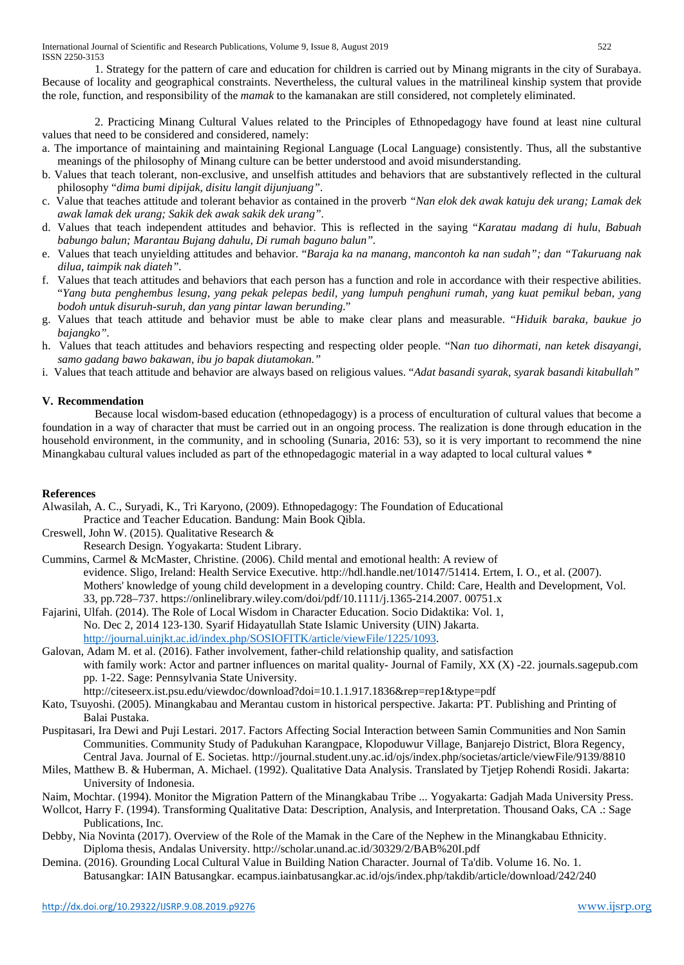1. Strategy for the pattern of care and education for children is carried out by Minang migrants in the city of Surabaya. Because of locality and geographical constraints. Nevertheless, the cultural values in the matrilineal kinship system that provide the role, function, and responsibility of the *mamak* to the kamanakan are still considered, not completely eliminated.

2. Practicing Minang Cultural Values related to the Principles of Ethnopedagogy have found at least nine cultural values that need to be considered and considered, namely:

- a. The importance of maintaining and maintaining Regional Language (Local Language) consistently. Thus, all the substantive meanings of the philosophy of Minang culture can be better understood and avoid misunderstanding.
- b. Values that teach tolerant, non-exclusive, and unselfish attitudes and behaviors that are substantively reflected in the cultural philosophy "*dima bumi dipijak, disitu langit dijunjuang"*.
- c. Value that teaches attitude and tolerant behavior as contained in the proverb *"Nan elok dek awak katuju dek urang; Lamak dek awak lamak dek urang; Sakik dek awak sakik dek urang".*
- d. Values that teach independent attitudes and behavior. This is reflected in the saying "*Karatau madang di hulu, Babuah babungo balun; Marantau Bujang dahulu, Di rumah baguno balun".*
- e. Values that teach unyielding attitudes and behavior. "*Baraja ka na manang, mancontoh ka nan sudah"; dan "Takuruang nak dilua, taimpik nak diateh".*
- f. Values that teach attitudes and behaviors that each person has a function and role in accordance with their respective abilities. "*Yang buta penghembus lesung, yang pekak pelepas bedil, yang lumpuh penghuni rumah, yang kuat pemikul beban, yang bodoh untuk disuruh-suruh, dan yang pintar lawan berunding*."
- g. Values that teach attitude and behavior must be able to make clear plans and measurable. "*Hiduik baraka, baukue jo bajangko".*
- h. Values that teach attitudes and behaviors respecting and respecting older people. "N*an tuo dihormati, nan ketek disayangi, samo gadang bawo bakawan, ibu jo bapak diutamokan."*
- i. Values that teach attitude and behavior are always based on religious values. "*Adat basandi syarak, syarak basandi kitabullah"*

# **V. Recommendation**

Because local wisdom-based education (ethnopedagogy) is a process of enculturation of cultural values that become a foundation in a way of character that must be carried out in an ongoing process. The realization is done through education in the household environment, in the community, and in schooling (Sunaria, 2016: 53), so it is very important to recommend the nine Minangkabau cultural values included as part of the ethnopedagogic material in a way adapted to local cultural values \*

## **References**

Alwasilah, A. C., Suryadi, K., Tri Karyono, (2009). Ethnopedagogy: The Foundation of Educational Practice and Teacher Education. Bandung: Main Book Qibla.

- Creswell, John W. (2015). Qualitative Research &
- Research Design. Yogyakarta: Student Library.
- Cummins, Carmel & McMaster, Christine. (2006). Child mental and emotional health: A review of evidence. Sligo, Ireland: Health Service Executive. http://hdl.handle.net/10147/51414. Ertem, I. O., et al. (2007). Mothers' knowledge of young child development in a developing country. Child: Care, Health and Development, Vol. 33, pp.728–737. [https://onlinelibrary.wiley.com/doi/pdf/10.1111/j.1365-214.2007. 00751.](https://onlinelibrary.wiley.com/doi/pdf/10.1111/j.1365-214.2007.%2000751)x
- Fajarini, Ulfah. (2014). The Role of Local Wisdom in Character Education. Socio Didaktika: Vol. 1, No. Dec 2, 2014 123-130. Syarif Hidayatullah State Islamic University (UIN) Jakarta. [http://journal.uinjkt.ac.id/index.php/SOSIOFITK/article/viewFile/1225/1093.](http://journal.uinjkt.ac.id/index.php/SOSIOFITK/article/viewFile/1225/1093)
- Galovan, Adam M. et al. (2016). Father involvement, father-child relationship quality, and satisfaction with family work: Actor and partner influences on marital quality- Journal of Family, XX (X) -22. journals.sagepub.com pp. 1-22. Sage: Pennsylvania State University.

<http://citeseerx.ist.psu.edu/viewdoc/download?doi=10.1.1.917.1836&rep=rep1&type=pdf>

- Kato, Tsuyoshi. (2005). Minangkabau and Merantau custom in historical perspective. Jakarta: PT. Publishing and Printing of Balai Pustaka.
- Puspitasari, Ira Dewi and Puji Lestari. 2017. Factors Affecting Social Interaction between Samin Communities and Non Samin Communities. Community Study of Padukuhan Karangpace, Klopoduwur Village, Banjarejo District, Blora Regency, Central Java. Journal of E. Societas[. http://journal.student.uny.ac.id/ojs/index.php/societas/article/viewFile/9139/8810](http://journal.student.uny.ac.id/ojs/index.php/societas/article/viewFile/9139/8810)
- Miles, Matthew B. & Huberman, A. Michael. (1992). Qualitative Data Analysis. Translated by Tjetjep Rohendi Rosidi. Jakarta: University of Indonesia.
- Naim, Mochtar. (1994). Monitor the Migration Pattern of the Minangkabau Tribe ... Yogyakarta: Gadjah Mada University Press.

- Debby, Nia Novinta (2017). Overview of the Role of the Mamak in the Care of the Nephew in the Minangkabau Ethnicity. Diploma thesis, Andalas University.<http://scholar.unand.ac.id/30329/2/BAB%20I.pdf>
- Demina. (2016). Grounding Local Cultural Value in Building Nation Character. Journal of Ta'dib. Volume 16. No. 1. Batusangkar: IAIN Batusangkar. ecampus.iainbatusangkar.ac.id/ojs/index.php/takdib/article/download/242/240

Wollcot, Harry F. (1994). Transforming Qualitative Data: Description, Analysis, and Interpretation. Thousand Oaks, CA .: Sage Publications, Inc.